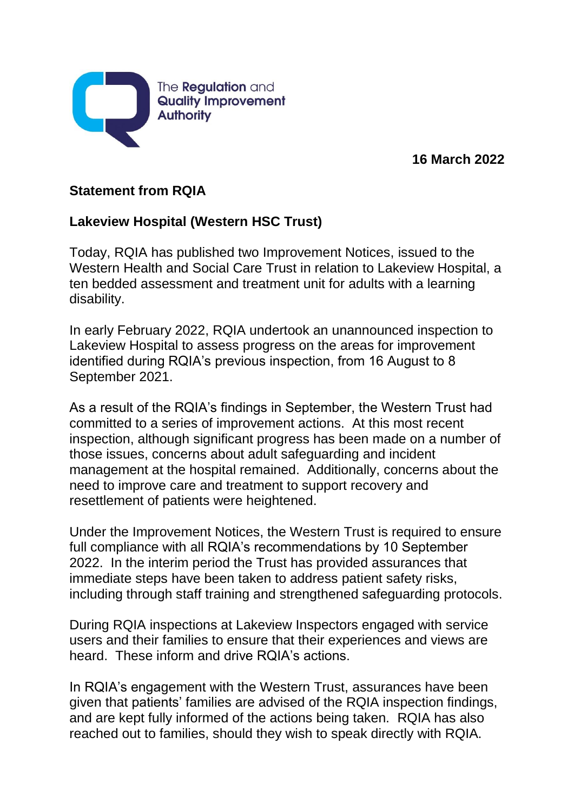

**16 March 2022**

## **Statement from RQIA**

## **Lakeview Hospital (Western HSC Trust)**

Today, RQIA has published two Improvement Notices, issued to the Western Health and Social Care Trust in relation to Lakeview Hospital, a ten bedded assessment and treatment unit for adults with a learning disability.

In early February 2022, RQIA undertook an unannounced inspection to Lakeview Hospital to assess progress on the areas for improvement identified during RQIA's previous inspection, from 16 August to 8 September 2021.

As a result of the RQIA's findings in September, the Western Trust had committed to a series of improvement actions. At this most recent inspection, although significant progress has been made on a number of those issues, concerns about adult safeguarding and incident management at the hospital remained. Additionally, concerns about the need to improve care and treatment to support recovery and resettlement of patients were heightened.

Under the Improvement Notices, the Western Trust is required to ensure full compliance with all RQIA's recommendations by 10 September 2022. In the interim period the Trust has provided assurances that immediate steps have been taken to address patient safety risks, including through staff training and strengthened safeguarding protocols.

During RQIA inspections at Lakeview Inspectors engaged with service users and their families to ensure that their experiences and views are heard. These inform and drive RQIA's actions.

In RQIA's engagement with the Western Trust, assurances have been given that patients' families are advised of the RQIA inspection findings, and are kept fully informed of the actions being taken. RQIA has also reached out to families, should they wish to speak directly with RQIA.